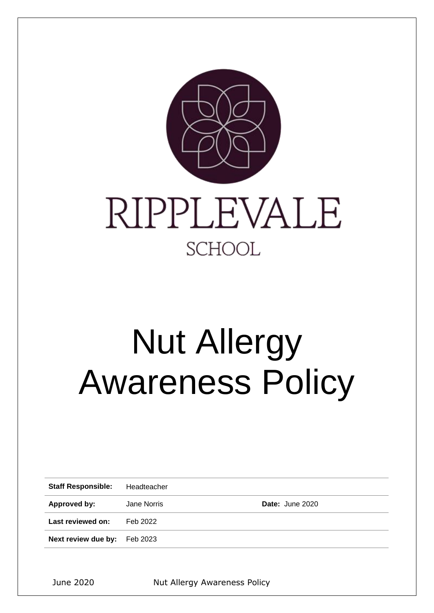

# Nut Allergy Awareness Policy

| <b>Staff Responsible:</b> | Headteacher |                 |
|---------------------------|-------------|-----------------|
| Approved by:              | Jane Norris | Date: June 2020 |
| Last reviewed on:         | Feb 2022    |                 |
| Next review due by:       | Feb 2023    |                 |
|                           |             |                 |

June 2020 Nut Allergy Awareness Policy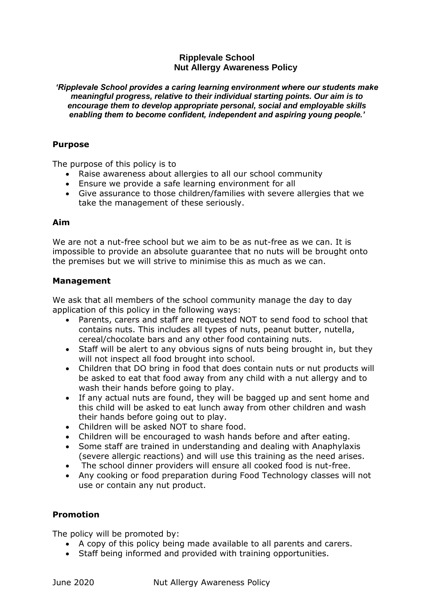# **Ripplevale School Nut Allergy Awareness Policy**

*'Ripplevale School provides a caring learning environment where our students make meaningful progress, relative to their individual starting points. Our aim is to encourage them to develop appropriate personal, social and employable skills enabling them to become confident, independent and aspiring young people.'*

### **Purpose**

The purpose of this policy is to

- Raise awareness about allergies to all our school community
- Ensure we provide a safe learning environment for all
- Give assurance to those children/families with severe allergies that we take the management of these seriously.

#### **Aim**

We are not a nut-free school but we aim to be as nut-free as we can. It is impossible to provide an absolute guarantee that no nuts will be brought onto the premises but we will strive to minimise this as much as we can.

# **Management**

We ask that all members of the school community manage the day to day application of this policy in the following ways:

- Parents, carers and staff are requested NOT to send food to school that contains nuts. This includes all types of nuts, peanut butter, nutella, cereal/chocolate bars and any other food containing nuts.
- Staff will be alert to any obvious signs of nuts being brought in, but they will not inspect all food brought into school.
- Children that DO bring in food that does contain nuts or nut products will be asked to eat that food away from any child with a nut allergy and to wash their hands before going to play.
- If any actual nuts are found, they will be bagged up and sent home and this child will be asked to eat lunch away from other children and wash their hands before going out to play.
- Children will be asked NOT to share food.
- Children will be encouraged to wash hands before and after eating.
- Some staff are trained in understanding and dealing with Anaphylaxis (severe allergic reactions) and will use this training as the need arises.
- The school dinner providers will ensure all cooked food is nut-free.
- Any cooking or food preparation during Food Technology classes will not use or contain any nut product.

# **Promotion**

The policy will be promoted by:

- A copy of this policy being made available to all parents and carers.
- Staff being informed and provided with training opportunities.